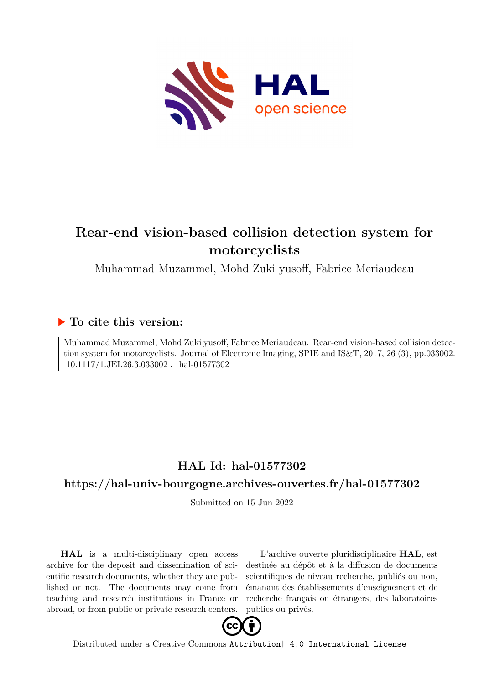

# **Rear-end vision-based collision detection system for motorcyclists**

Muhammad Muzammel, Mohd Zuki yusoff, Fabrice Meriaudeau

# **To cite this version:**

Muhammad Muzammel, Mohd Zuki yusoff, Fabrice Meriaudeau. Rear-end vision-based collision detection system for motorcyclists. Journal of Electronic Imaging, SPIE and IS&T, 2017, 26 (3), pp.033002.  $10.1117/1.JEL.26.3.033002$ . hal-01577302

# **HAL Id: hal-01577302**

# **<https://hal-univ-bourgogne.archives-ouvertes.fr/hal-01577302>**

Submitted on 15 Jun 2022

**HAL** is a multi-disciplinary open access archive for the deposit and dissemination of scientific research documents, whether they are published or not. The documents may come from teaching and research institutions in France or abroad, or from public or private research centers.

L'archive ouverte pluridisciplinaire **HAL**, est destinée au dépôt et à la diffusion de documents scientifiques de niveau recherche, publiés ou non, émanant des établissements d'enseignement et de recherche français ou étrangers, des laboratoires publics ou privés.



Distributed under a Creative Commons [Attribution| 4.0 International License](http://creativecommons.org/licenses/by/4.0/)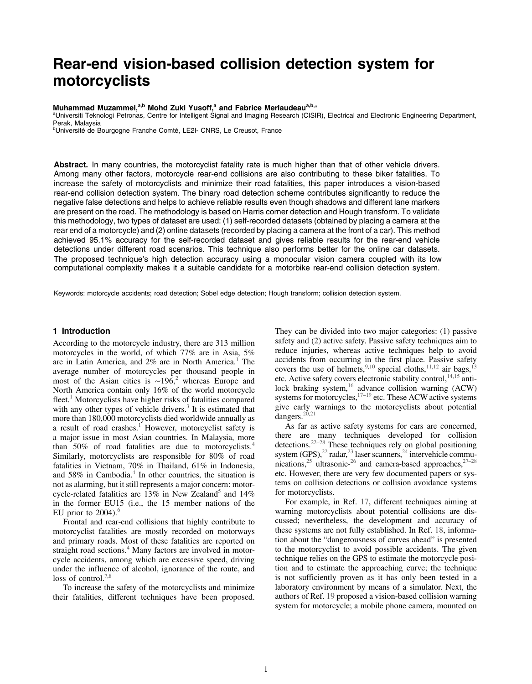# Rear-end vision-based collision detection system for motorcyclists

### Muhammad Muzammel,<sup>a,b</sup> Mohd Zuki Yusoff,<sup>a</sup> and Fabrice Meriaudeau<sup>a,b,\*</sup>

aUniversiti Teknologi Petronas, Centre for Intelligent Signal and Imaging Research (CISIR), Electrical and Electronic Engineering Department, Perak, Malaysia

<sup>b</sup>Université de Bourgogne Franche Comté, LE2I- CNRS, Le Creusot, France

Abstract. In many countries, the motorcyclist fatality rate is much higher than that of other vehicle drivers. Among many other factors, motorcycle rear-end collisions are also contributing to these biker fatalities. To increase the safety of motorcyclists and minimize their road fatalities, this paper introduces a vision-based rear-end collision detection system. The binary road detection scheme contributes significantly to reduce the negative false detections and helps to achieve reliable results even though shadows and different lane markers are present on the road. The methodology is based on Harris corner detection and Hough transform. To validate this methodology, two types of dataset are used: (1) self-recorded datasets (obtained by placing a camera at the rear end of a motorcycle) and (2) online datasets (recorded by placing a camera at the front of a car). This method achieved 95.1% accuracy for the self-recorded dataset and gives reliable results for the rear-end vehicle detections under different road scenarios. This technique also performs better for the online car datasets. The proposed technique's high detection accuracy using a monocular vision camera coupled with its low computational complexity makes it a suitable candidate for a motorbike rear-end collision detection system.

Keywords: motorcycle accidents; road detection; Sobel edge detection; Hough transform; collision detection system.

#### 1 Introduction

According to the motorcycle industry, there are 313 million motorcycles in the world, of which 77% are in Asia, 5% are in Latin America, and  $2\%$  are in North America.<sup>1</sup> The average number of motorcycles per thousand people in most of the Asian cities is ∼196, <sup>2</sup> whereas Europe and North America contain only 16% of the world motorcycle fleet.<sup>1</sup> Motorcyclists have higher risks of fatalities compared with any other types of vehicle drivers.<sup>3</sup> It is estimated that more than 180,000 motorcyclists died worldwide annually as a result of road crashes.<sup>1</sup> However, motorcyclist safety is a major issue in most Asian countries. In Malaysia, more than 50% of road fatalities are due to motorcyclists.<sup>4</sup> Similarly, motorcyclists are responsible for 80% of road fatalities in Vietnam, 70% in Thailand, 61% in Indonesia, and  $58\%$  in Cambodia.<sup>4</sup> In other countries, the situation is not as alarming, but it still represents a major concern: motorcycle-related fatalities are  $13\%$  in New Zealand<sup>5</sup> and  $14\%$ in the former EU15 (i.e., the 15 member nations of the EU prior to  $2004$ ).<sup>6</sup>

Frontal and rear-end collisions that highly contribute to motorcyclist fatalities are mostly recorded on motorways and primary roads. Most of these fatalities are reported on straight road sections.<sup>4</sup> Many factors are involved in motorcycle accidents, among which are excessive speed, driving under the influence of alcohol, ignorance of the route, and loss of control.<sup>7,8</sup>

To increase the safety of the motorcyclists and minimize their fatalities, different techniques have been proposed.

They can be divided into two major categories: (1) passive safety and (2) active safety. Passive safety techniques aim to reduce injuries, whereas active techniques help to avoid accidents from occurring in the first place. Passive safety covers the use of helmets,<sup>9,10</sup> special cloths,<sup>11,12</sup> air bags,<sup>13</sup> etc. Active safety covers electronic stability control,  $14,15$  antilock braking system,<sup>16</sup> advance collision warning (ACW) systems for motorcycles,  $17-19$  etc. These ACW active systems give early warnings to the motorcyclists about potential dangers. $20,21$ 

As far as active safety systems for cars are concerned, there are many techniques developed for collision detections.<sup>22</sup>–<sup>28</sup> These techniques rely on global positioning system  $(GPS)$ ,<sup>22</sup> radar,<sup>23</sup> laser scanners,<sup>24</sup> intervehicle communications,<sup>25</sup> ultrasonic-<sup>26</sup> and camera-based approaches,<sup>27–28</sup> etc. However, there are very few documented papers or systems on collision detections or collision avoidance systems for motorcyclists.

For example, in Ref. 17, different techniques aiming at warning motorcyclists about potential collisions are discussed; nevertheless, the development and accuracy of these systems are not fully established. In Ref. 18, information about the "dangerousness of curves ahead" is presented to the motorcyclist to avoid possible accidents. The given technique relies on the GPS to estimate the motorcycle position and to estimate the approaching curve; the technique is not sufficiently proven as it has only been tested in a laboratory environment by means of a simulator. Next, the authors of Ref. 19 proposed a vision-based collision warning system for motorcycle; a mobile phone camera, mounted on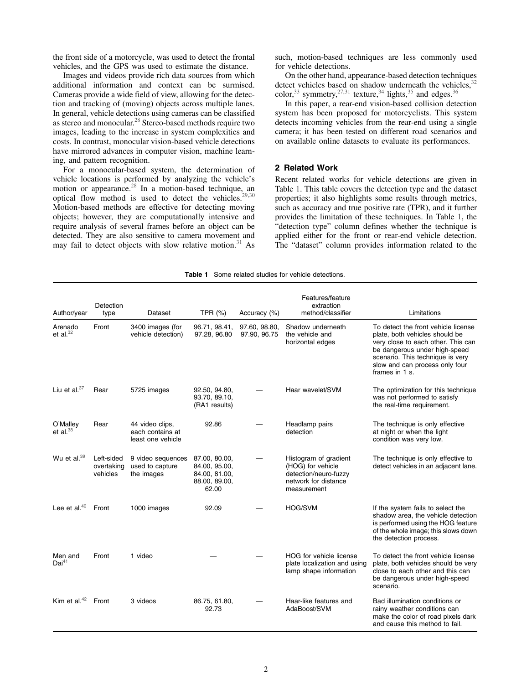the front side of a motorcycle, was used to detect the frontal vehicles, and the GPS was used to estimate the distance.

Images and videos provide rich data sources from which additional information and context can be surmised. Cameras provide a wide field of view, allowing for the detection and tracking of (moving) objects across multiple lanes. In general, vehicle detections using cameras can be classified as stereo and monocular.<sup>28</sup> Stereo-based methods require two images, leading to the increase in system complexities and costs. In contrast, monocular vision-based vehicle detections have mirrored advances in computer vision, machine learning, and pattern recognition.

For a monocular-based system, the determination of vehicle locations is performed by analyzing the vehicle's motion or appearance.<sup>28</sup> In a motion-based technique, an optical flow method is used to detect the vehicles.<sup>29,30</sup> Motion-based methods are effective for detecting moving objects; however, they are computationally intensive and require analysis of several frames before an object can be detected. They are also sensitive to camera movement and may fail to detect objects with slow relative motion. $31$  As

such, motion-based techniques are less commonly used for vehicle detections.

On the other hand, appearance-based detection techniques detect vehicles based on shadow underneath the vehicles,  $32$ color,<sup>33</sup> symmetry,<sup>27,31</sup> texture,<sup>34</sup> lights,<sup>35</sup> and edges.<sup>36</sup>

In this paper, a rear-end vision-based collision detection system has been proposed for motorcyclists. This system detects incoming vehicles from the rear-end using a single camera; it has been tested on different road scenarios and on available online datasets to evaluate its performances.

# 2 Related Work

Recent related works for vehicle detections are given in Table 1. This table covers the detection type and the dataset properties; it also highlights some results through metrics, such as accuracy and true positive rate (TPR), and it further provides the limitation of these techniques. In Table 1, the "detection type" column defines whether the technique is applied either for the front or rear-end vehicle detection. The "dataset" column provides information related to the

| <b>Table 1</b> Some related studies for vehicle detections. |  |  |
|-------------------------------------------------------------|--|--|
|                                                             |  |  |

| Author/year                  | Detection<br>type                    | Dataset                                                  | TPR (%)                                                                   | Accuracy (%)                  | Features/feature<br>extraction<br>method/classifier                                                        | Limitations                                                                                                                                                                                                                          |
|------------------------------|--------------------------------------|----------------------------------------------------------|---------------------------------------------------------------------------|-------------------------------|------------------------------------------------------------------------------------------------------------|--------------------------------------------------------------------------------------------------------------------------------------------------------------------------------------------------------------------------------------|
| Arenado<br>et al. $32$       | Front                                | 3400 images (for<br>vehicle detection)                   | 96.71, 98.41,<br>97.28, 96.80                                             | 97.60, 98.80,<br>97.90, 96.75 | Shadow underneath<br>the vehicle and<br>horizontal edges                                                   | To detect the front vehicle license<br>plate, both vehicles should be<br>very close to each other. This can<br>be dangerous under high-speed<br>scenario. This technique is very<br>slow and can process only four<br>frames in 1 s. |
| Liu et al. $37$              | Rear                                 | 5725 images                                              | 92.50, 94.80,<br>93.70, 89.10,<br>(RA1 results)                           |                               | Haar wavelet/SVM                                                                                           | The optimization for this technique<br>was not performed to satisfy<br>the real-time requirement.                                                                                                                                    |
| O'Malley<br>et al. $38$      | Rear                                 | 44 video clips,<br>each contains at<br>least one vehicle | 92.86                                                                     |                               | Headlamp pairs<br>detection                                                                                | The technique is only effective<br>at night or when the light<br>condition was very low.                                                                                                                                             |
| Wu et al. <sup>39</sup>      | Left-sided<br>overtaking<br>vehicles | 9 video sequences<br>used to capture<br>the images       | 87.00, 80.00,<br>84.00, 95.00,<br>84.00, 81.00,<br>88.00, 89.00,<br>62.00 |                               | Histogram of gradient<br>(HOG) for vehicle<br>detection/neuro-fuzzy<br>network for distance<br>measurement | The technique is only effective to<br>detect vehicles in an adjacent lane.                                                                                                                                                           |
| Lee et al. $40$              | Front                                | 1000 images                                              | 92.09                                                                     |                               | <b>HOG/SVM</b>                                                                                             | If the system fails to select the<br>shadow area, the vehicle detection<br>is performed using the HOG feature<br>of the whole image; this slows down<br>the detection process.                                                       |
| Men and<br>Dai <sup>41</sup> | Front                                | 1 video                                                  |                                                                           |                               | HOG for vehicle license<br>plate localization and using<br>lamp shape information                          | To detect the front vehicle license<br>plate, both vehicles should be very<br>close to each other and this can<br>be dangerous under high-speed<br>scenario.                                                                         |
| Kim et al. $42$              | Front                                | 3 videos                                                 | 86.75, 61.80,<br>92.73                                                    |                               | Haar-like features and<br>AdaBoost/SVM                                                                     | Bad illumination conditions or<br>rainy weather conditions can<br>make the color of road pixels dark<br>and cause this method to fail.                                                                                               |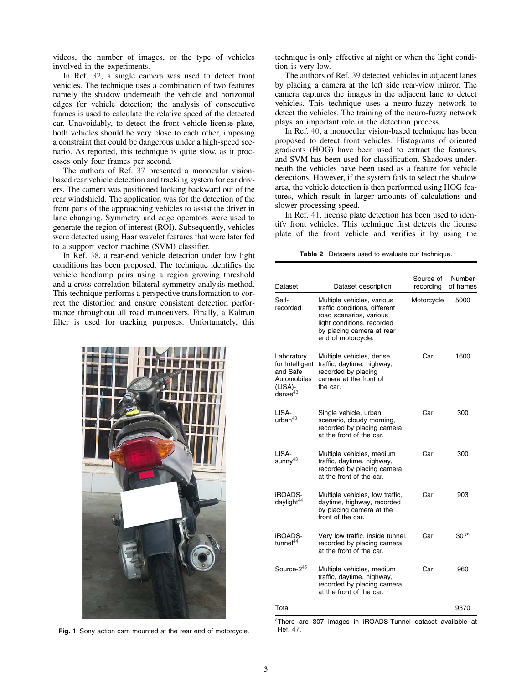videos, the number of images, or the type of vehicles involved in the experiments.

In Ref. 32, a single camera was used to detect front vehicles. The technique uses a combination of two features namely the shadow underneath the vehicle and horizontal edges for vehicle detection; the analysis of consecutive frames is used to calculate the relative speed of the detected car. Unavoidably, to detect the front vehicle license plate, both vehicles should be very close to each other, imposing a constraint that could be dangerous under a high-speed scenario. As reported, this technique is quite slow, as it processes only four frames per second.

The authors of Ref. 37 presented a monocular visionbased rear vehicle detection and tracking system for car drivers. The camera was positioned looking backward out of the rear windshield. The application was for the detection of the front parts of the approaching vehicles to assist the driver in lane changing. Symmetry and edge operators were used to generate the region of interest (ROI). Subsequently, vehicles were detected using Haar wavelet features that were later fed to a support vector machine (SVM) classifier.

In Ref. 38, a rear-end vehicle detection under low light conditions has been proposed. The technique identifies the vehicle headlamp pairs using a region growing threshold and a cross-correlation bilateral symmetry analysis method. This technique performs a perspective transformation to correct the distortion and ensure consistent detection performance throughout all road manoeuvers. Finally, a Kalman filter is used for tracking purposes. Unfortunately, this



Fig. 1 Sony action cam mounted at the rear end of motorcycle.

technique is only effective at night or when the light condition is very low.

The authors of Ref. 39 detected vehicles in adjacent lanes by placing a camera at the left side rear-view mirror. The camera captures the images in the adjacent lane to detect vehicles. This technique uses a neuro-fuzzy network to detect the vehicles. The training of the neuro-fuzzy network plays an important role in the detection process.

In Ref. 40, a monocular vision-based technique has been proposed to detect front vehicles. Histograms of oriented gradients (HOG) have been used to extract the features, and SVM has been used for classification. Shadows underneath the vehicles have been used as a feature for vehicle detections. However, if the system fails to select the shadow area, the vehicle detection is then performed using HOG features, which result in larger amounts of calculations and slower processing speed.

In Ref. 41, license plate detection has been used to identify front vehicles. This technique first detects the license plate of the front vehicle and verifies it by using the

Table 2 Datasets used to evaluate our technique.

| Dataset                                                                           | Dataset description                                                                                                                                                     | Source of<br>recording | Number<br>of frames |
|-----------------------------------------------------------------------------------|-------------------------------------------------------------------------------------------------------------------------------------------------------------------------|------------------------|---------------------|
| Self-<br>recorded                                                                 | Multiple vehicles, various<br>traffic conditions, different<br>road scenarios, various<br>light conditions, recorded<br>by placing camera at rear<br>end of motorcycle. | Motorcycle             | 5000                |
| Laboratory<br>for Intelligent<br>and Safe<br>Automobiles<br>(LISA)-<br>dense $43$ | Multiple vehicles, dense<br>traffic, daytime, highway,<br>recorded by placing<br>camera at the front of<br>the car.                                                     | Car                    | 1600                |
| LISA-<br>urban $43$                                                               | Single vehicle, urban<br>scenario, cloudy morning,<br>recorded by placing camera<br>at the front of the car.                                                            | Car                    | 300                 |
| LISA-<br>sunny <sup>43</sup>                                                      | Multiple vehicles, medium<br>traffic, daytime, highway,<br>recorded by placing camera<br>at the front of the car.                                                       | Car                    | 300                 |
| iROADS-<br>daylight <sup>44</sup>                                                 | Multiple vehicles, low traffic,<br>daytime, highway, recorded<br>by placing camera at the<br>front of the car.                                                          | Car                    | 903                 |
| iROADS-<br>tunnel <sup>44</sup>                                                   | Very low traffic, inside tunnel,<br>recorded by placing camera<br>at the front of the car.                                                                              | Car                    | 307 <sup>a</sup>    |
| Source- $2^{45}$                                                                  | Multiple vehicles, medium<br>traffic, daytime, highway,<br>recorded by placing camera<br>at the front of the car.                                                       | Car                    | 960                 |
| Total                                                                             |                                                                                                                                                                         |                        | 9370                |

<sup>a</sup>There are 307 images in iROADS-Tunnel dataset available at Ref. 47.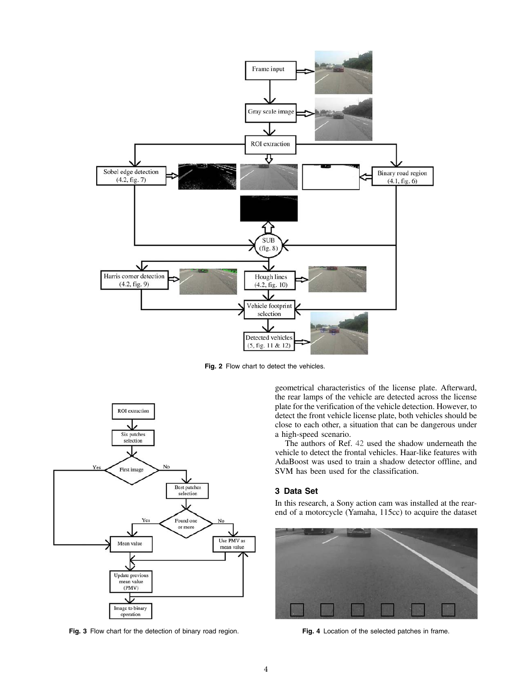

Fig. 2 Flow chart to detect the vehicles.



Fig. 3 Flow chart for the detection of binary road region. Fig. 4 Location of the selected patches in frame.

geometrical characteristics of the license plate. Afterward, the rear lamps of the vehicle are detected across the license plate for the verification of the vehicle detection. However, to detect the front vehicle license plate, both vehicles should be close to each other, a situation that can be dangerous under a high-speed scenario.

The authors of Ref. 42 used the shadow underneath the vehicle to detect the frontal vehicles. Haar-like features with AdaBoost was used to train a shadow detector offline, and SVM has been used for the classification.

# 3 Data Set

In this research, a Sony action cam was installed at the rearend of a motorcycle (Yamaha, 115cc) to acquire the dataset

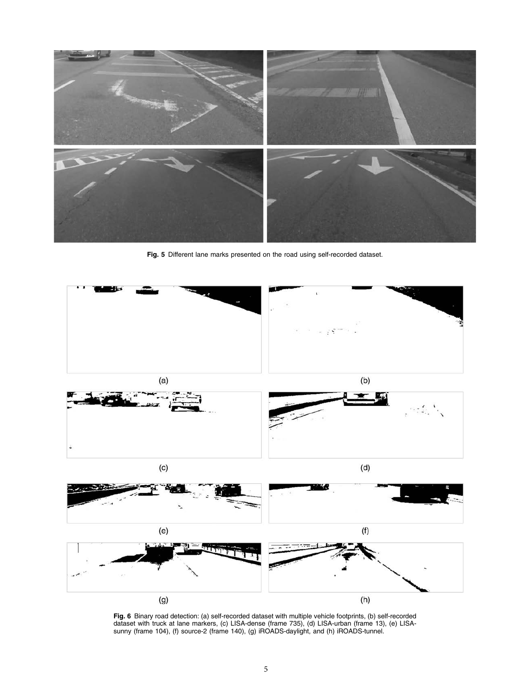

Fig. 5 Different lane marks presented on the road using self-recorded dataset.



Fig. 6 Binary road detection: (a) self-recorded dataset with multiple vehicle footprints, (b) self-recorded dataset with truck at lane markers, (c) LISA-dense (frame 735), (d) LISA-urban (frame 13), (e) LISAsunny (frame 104), (f) source-2 (frame 140), (g) iROADS-daylight, and (h) iROADS-tunnel.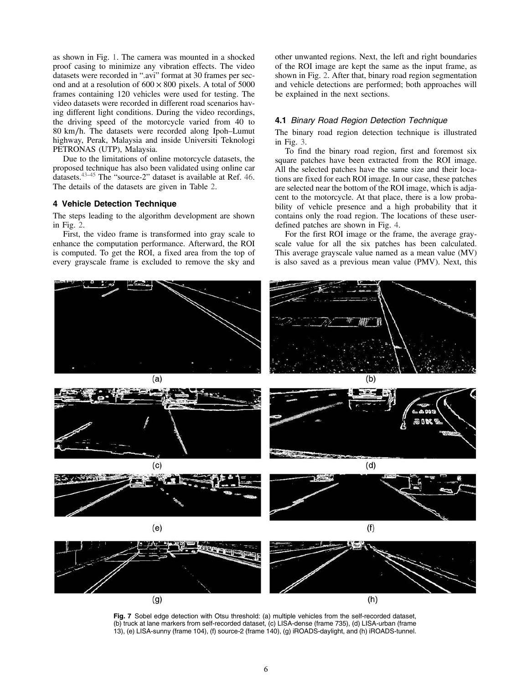as shown in Fig. 1. The camera was mounted in a shocked proof casing to minimize any vibration effects. The video datasets were recorded in ".avi" format at 30 frames per second and at a resolution of  $600 \times 800$  pixels. A total of 5000 frames containing 120 vehicles were used for testing. The video datasets were recorded in different road scenarios having different light conditions. During the video recordings, the driving speed of the motorcycle varied from 40 to 80 km∕h. The datasets were recorded along Ipoh–Lumut highway, Perak, Malaysia and inside Universiti Teknologi PETRONAS (UTP), Malaysia.

Due to the limitations of online motorcycle datasets, the proposed technique has also been validated using online car datasets.<sup>43–45</sup> The "source-2" dataset is available at Ref. 46. The details of the datasets are given in Table 2.

## 4 Vehicle Detection Technique

The steps leading to the algorithm development are shown in Fig. 2.

First, the video frame is transformed into gray scale to enhance the computation performance. Afterward, the ROI is computed. To get the ROI, a fixed area from the top of every grayscale frame is excluded to remove the sky and other unwanted regions. Next, the left and right boundaries of the ROI image are kept the same as the input frame, as shown in Fig. 2. After that, binary road region segmentation and vehicle detections are performed; both approaches will be explained in the next sections.

#### 4.1 Binary Road Region Detection Technique

The binary road region detection technique is illustrated in Fig. 3.

To find the binary road region, first and foremost six square patches have been extracted from the ROI image. All the selected patches have the same size and their locations are fixed for each ROI image. In our case, these patches are selected near the bottom of the ROI image, which is adjacent to the motorcycle. At that place, there is a low probability of vehicle presence and a high probability that it contains only the road region. The locations of these userdefined patches are shown in Fig. 4.

For the first ROI image or the frame, the average grayscale value for all the six patches has been calculated. This average grayscale value named as a mean value (MV) is also saved as a previous mean value (PMV). Next, this



Fig. 7 Sobel edge detection with Otsu threshold: (a) multiple vehicles from the self-recorded dataset, (b) truck at lane markers from self-recorded dataset, (c) LISA-dense (frame 735), (d) LISA-urban (frame 13), (e) LISA-sunny (frame 104), (f) source-2 (frame 140), (g) iROADS-daylight, and (h) iROADS-tunnel.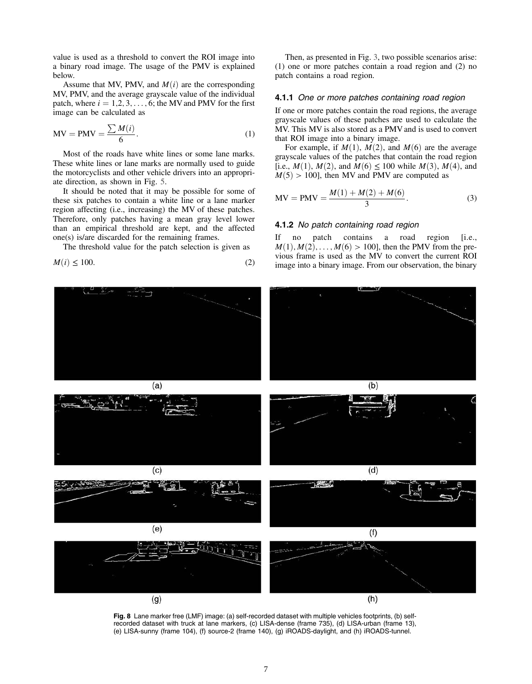value is used as a threshold to convert the ROI image into a binary road image. The usage of the PMV is explained below.

Assume that MV, PMV, and  $M(i)$  are the corresponding MV, PMV, and the average grayscale value of the individual patch, where  $i = 1, 2, 3, \ldots, 6$ ; the MV and PMV for the first image can be calculated as

$$
MV = PMV = \frac{\sum M(i)}{6}.
$$
 (1)

Most of the roads have white lines or some lane marks. These white lines or lane marks are normally used to guide the motorcyclists and other vehicle drivers into an appropriate direction, as shown in Fig. 5.

It should be noted that it may be possible for some of these six patches to contain a white line or a lane marker region affecting (i.e., increasing) the MV of these patches. Therefore, only patches having a mean gray level lower than an empirical threshold are kept, and the affected one(s) is/are discarded for the remaining frames.

The threshold value for the patch selection is given as

$$
M(i) \le 100.\t(2)
$$

Then, as presented in Fig. 3, two possible scenarios arise: (1) one or more patches contain a road region and (2) no patch contains a road region.

#### 4.1.1 One or more patches containing road region

If one or more patches contain the road regions, the average grayscale values of these patches are used to calculate the MV. This MV is also stored as a PMV and is used to convert that ROI image into a binary image.

For example, if  $M(1)$ ,  $M(2)$ , and  $M(6)$  are the average grayscale values of the patches that contain the road region [i.e.,  $M(1)$ ,  $M(2)$ , and  $M(6) \le 100$  while  $M(3)$ ,  $M(4)$ , and  $M(5) > 100$ ], then MV and PMV are computed as

MV = PMV = 
$$
\frac{M(1) + M(2) + M(6)}{3}
$$
 (3)

#### 4.1.2 No patch containing road region

If no patch contains a road region [i.e.,  $M(1), M(2), \ldots, M(6) > 100$ , then the PMV from the previous frame is used as the MV to convert the current ROI image into a binary image. From our observation, the binary



Fig. 8 Lane marker free (LMF) image: (a) self-recorded dataset with multiple vehicles footprints, (b) selfrecorded dataset with truck at lane markers, (c) LISA-dense (frame 735), (d) LISA-urban (frame 13), (e) LISA-sunny (frame 104), (f) source-2 (frame 140), (g) iROADS-daylight, and (h) iROADS-tunnel.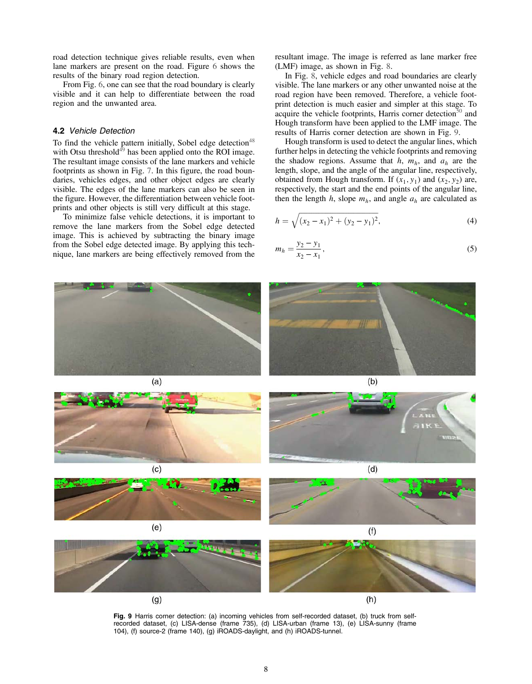road detection technique gives reliable results, even when lane markers are present on the road. Figure 6 shows the results of the binary road region detection.

From Fig. 6, one can see that the road boundary is clearly visible and it can help to differentiate between the road region and the unwanted area.

### 4.2 Vehicle Detection

To find the vehicle pattern initially, Sobel edge detection<sup> $48$ </sup> with Otsu threshold $4^6$  has been applied onto the ROI image. The resultant image consists of the lane markers and vehicle footprints as shown in Fig. 7. In this figure, the road boundaries, vehicles edges, and other object edges are clearly visible. The edges of the lane markers can also be seen in the figure. However, the differentiation between vehicle footprints and other objects is still very difficult at this stage.

To minimize false vehicle detections, it is important to remove the lane markers from the Sobel edge detected image. This is achieved by subtracting the binary image from the Sobel edge detected image. By applying this technique, lane markers are being effectively removed from the resultant image. The image is referred as lane marker free (LMF) image, as shown in Fig. 8.

In Fig. 8, vehicle edges and road boundaries are clearly visible. The lane markers or any other unwanted noise at the road region have been removed. Therefore, a vehicle footprint detection is much easier and simpler at this stage. To acquire the vehicle footprints, Harris corner detection $50$  and Hough transform have been applied to the LMF image. The results of Harris corner detection are shown in Fig. 9.

Hough transform is used to detect the angular lines, which further helps in detecting the vehicle footprints and removing the shadow regions. Assume that  $h$ ,  $m_h$ , and  $a_h$  are the length, slope, and the angle of the angular line, respectively, obtained from Hough transform. If  $(x_1, y_1)$  and  $(x_2, y_2)$  are, respectively, the start and the end points of the angular line, then the length  $h$ , slope  $m_h$ , and angle  $a_h$  are calculated as

$$
h = \sqrt{(x_2 - x_1)^2 + (y_2 - y_1)^2},\tag{4}
$$

$$
m_h = \frac{y_2 - y_1}{x_2 - x_1},\tag{5}
$$



Fig. 9 Harris corner detection: (a) incoming vehicles from self-recorded dataset, (b) truck from selfrecorded dataset, (c) LISA-dense (frame 735), (d) LISA-urban (frame 13), (e) LISA-sunny (frame 104), (f) source-2 (frame 140), (g) iROADS-daylight, and (h) iROADS-tunnel.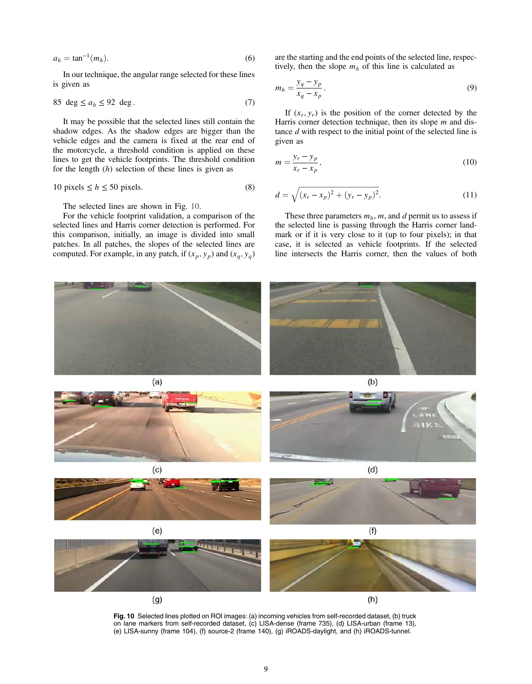$$
a_h = \tan^{-1}(m_h). \tag{6}
$$

In our technique, the angular range selected for these lines is given as

$$
85 \deg \le a_h \le 92 \deg. \tag{7}
$$

It may be possible that the selected lines still contain the shadow edges. As the shadow edges are bigger than the vehicle edges and the camera is fixed at the rear end of the motorcycle, a threshold condition is applied on these lines to get the vehicle footprints. The threshold condition for the length  $(h)$  selection of these lines is given as

$$
10 \text{ pixels} \le h \le 50 \text{ pixels.} \tag{8}
$$

The selected lines are shown in Fig. 10.

For the vehicle footprint validation, a comparison of the selected lines and Harris corner detection is performed. For this comparison, initially, an image is divided into small patches. In all patches, the slopes of the selected lines are computed. For example, in any patch, if  $(x_p, y_p)$  and  $(x_q, y_q)$ 

are the starting and the end points of the selected line, respectively, then the slope  $m_h$  of this line is calculated as

$$
m_h = \frac{y_q - y_p}{x_q - x_p}.\tag{9}
$$

If  $(x_r, y_r)$  is the position of the corner detected by the Harris corner detection technique, then its slope  $m$  and distance  $d$  with respect to the initial point of the selected line is given as

$$
m = \frac{y_r - y_p}{x_r - x_p},\tag{10}
$$

$$
d = \sqrt{(x_r - x_p)^2 + (y_r - y_p)^2}.
$$
 (11)

These three parameters  $m_h$ ,  $m$ , and  $d$  permit us to assess if the selected line is passing through the Harris corner landmark or if it is very close to it (up to four pixels); in that case, it is selected as vehicle footprints. If the selected line intersects the Harris corner, then the values of both



Fig. 10 Selected lines plotted on ROI images: (a) incoming vehicles from self-recorded dataset, (b) truck on lane markers from self-recorded dataset, (c) LISA-dense (frame 735), (d) LISA-urban (frame 13), (e) LISA-sunny (frame 104), (f) source-2 (frame 140), (g) iROADS-daylight, and (h) iROADS-tunnel.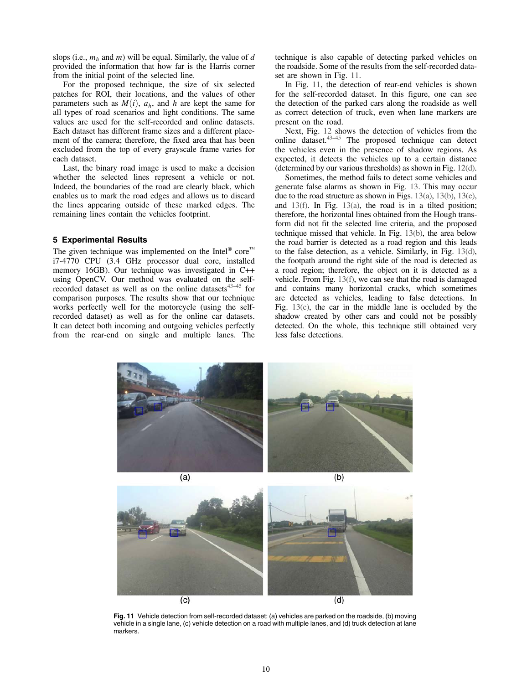slops (i.e.,  $m_h$  and m) will be equal. Similarly, the value of d provided the information that how far is the Harris corner from the initial point of the selected line.

For the proposed technique, the size of six selected patches for ROI, their locations, and the values of other parameters such as  $M(i)$ ,  $a<sub>h</sub>$ , and h are kept the same for all types of road scenarios and light conditions. The same values are used for the self-recorded and online datasets. Each dataset has different frame sizes and a different placement of the camera; therefore, the fixed area that has been excluded from the top of every grayscale frame varies for each dataset.

Last, the binary road image is used to make a decision whether the selected lines represent a vehicle or not. Indeed, the boundaries of the road are clearly black, which enables us to mark the road edges and allows us to discard the lines appearing outside of these marked edges. The remaining lines contain the vehicles footprint.

### 5 Experimental Results

The given technique was implemented on the Intel<sup>®</sup> core<sup>™</sup> i7-4770 CPU (3.4 GHz processor dual core, installed memory 16GB). Our technique was investigated in C++ using OpenCV. Our method was evaluated on the selfrecorded dataset as well as on the online datasets $43-45$  for comparison purposes. The results show that our technique works perfectly well for the motorcycle (using the selfrecorded dataset) as well as for the online car datasets. It can detect both incoming and outgoing vehicles perfectly from the rear-end on single and multiple lanes. The technique is also capable of detecting parked vehicles on the roadside. Some of the results from the self-recorded dataset are shown in Fig. 11.

In Fig. 11, the detection of rear-end vehicles is shown for the self-recorded dataset. In this figure, one can see the detection of the parked cars along the roadside as well as correct detection of truck, even when lane markers are present on the road.

Next, Fig. 12 shows the detection of vehicles from the online dataset. $43-45$  The proposed technique can detect the vehicles even in the presence of shadow regions. As expected, it detects the vehicles up to a certain distance (determined by our various thresholds) as shown in Fig. 12(d).

Sometimes, the method fails to detect some vehicles and generate false alarms as shown in Fig. 13. This may occur due to the road structure as shown in Figs. 13(a), 13(b), 13(e), and 13(f). In Fig. 13(a), the road is in a tilted position; therefore, the horizontal lines obtained from the Hough transform did not fit the selected line criteria, and the proposed technique missed that vehicle. In Fig. 13(b), the area below the road barrier is detected as a road region and this leads to the false detection, as a vehicle. Similarly, in Fig. 13(d), the footpath around the right side of the road is detected as a road region; therefore, the object on it is detected as a vehicle. From Fig. 13(f), we can see that the road is damaged and contains many horizontal cracks, which sometimes are detected as vehicles, leading to false detections. In Fig. 13(c), the car in the middle lane is occluded by the shadow created by other cars and could not be possibly detected. On the whole, this technique still obtained very less false detections.





Fig. 11 Vehicle detection from self-recorded dataset: (a) vehicles are parked on the roadside, (b) moving vehicle in a single lane, (c) vehicle detection on a road with multiple lanes, and (d) truck detection at lane markers.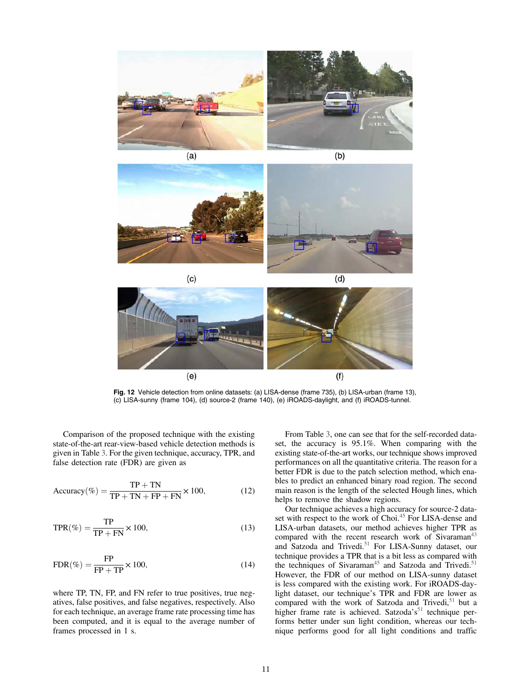





Fig. 12 Vehicle detection from online datasets: (a) LISA-dense (frame 735), (b) LISA-urban (frame 13), (c) LISA-sunny (frame 104), (d) source-2 (frame 140), (e) iROADS-daylight, and (f) iROADS-tunnel.

Comparison of the proposed technique with the existing state-of-the-art rear-view-based vehicle detection methods is given in Table 3. For the given technique, accuracy, TPR, and false detection rate (FDR) are given as

$$
Accuracy(\%) = \frac{TP + TN}{TP + TN + FP + FN} \times 100,
$$
 (12)

$$
TPR(\%) = \frac{TP}{TP + FN} \times 100,
$$
\n(13)

$$
FDR(\%) = \frac{FP}{FP + TP} \times 100,
$$
\n(14)

where TP, TN, FP, and FN refer to true positives, true negatives, false positives, and false negatives, respectively. Also for each technique, an average frame rate processing time has been computed, and it is equal to the average number of frames processed in 1 s.

From Table 3, one can see that for the self-recorded dataset, the accuracy is 95.1%. When comparing with the existing state-of-the-art works, our technique shows improved performances on all the quantitative criteria. The reason for a better FDR is due to the patch selection method, which enables to predict an enhanced binary road region. The second main reason is the length of the selected Hough lines, which helps to remove the shadow regions.

Our technique achieves a high accuracy for source-2 dataset with respect to the work of Choi.<sup>45</sup> For LISA-dense and LISA-urban datasets, our method achieves higher TPR as compared with the recent research work of Sivaraman<sup>43</sup> and Satzoda and Trivedi.<sup>51</sup> For LISA-Sunny dataset, our technique provides a TPR that is a bit less as compared with the techniques of Sivaraman<sup>45</sup> and Satzoda and Trivedi.<sup>51</sup> However, the FDR of our method on LISA-sunny dataset is less compared with the existing work. For iROADS-daylight dataset, our technique's TPR and FDR are lower as compared with the work of Satzoda and Trivedi, $51$  but a higher frame rate is achieved. Satzoda's<sup>51</sup> technique performs better under sun light condition, whereas our technique performs good for all light conditions and traffic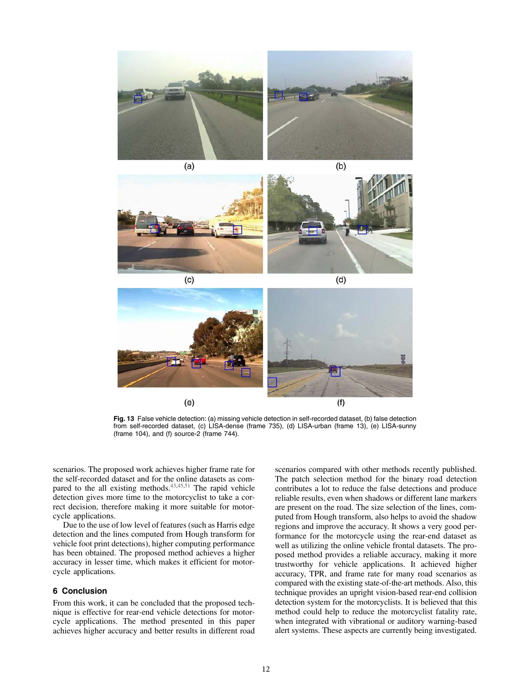

 $(a)$ 





Fig. 13 False vehicle detection: (a) missing vehicle detection in self-recorded dataset, (b) false detection from self-recorded dataset, (c) LISA-dense (frame 735), (d) LISA-urban (frame 13), (e) LISA-sunny (frame 104), and (f) source-2 (frame 744).

scenarios. The proposed work achieves higher frame rate for the self-recorded dataset and for the online datasets as compared to the all existing methods. $43,45,51$  The rapid vehicle detection gives more time to the motorcyclist to take a correct decision, therefore making it more suitable for motorcycle applications.

Due to the use of low level of features (such as Harris edge detection and the lines computed from Hough transform for vehicle foot print detections), higher computing performance has been obtained. The proposed method achieves a higher accuracy in lesser time, which makes it efficient for motorcycle applications.

## 6 Conclusion

From this work, it can be concluded that the proposed technique is effective for rear-end vehicle detections for motorcycle applications. The method presented in this paper achieves higher accuracy and better results in different road scenarios compared with other methods recently published. The patch selection method for the binary road detection contributes a lot to reduce the false detections and produce reliable results, even when shadows or different lane markers are present on the road. The size selection of the lines, computed from Hough transform, also helps to avoid the shadow regions and improve the accuracy. It shows a very good performance for the motorcycle using the rear-end dataset as well as utilizing the online vehicle frontal datasets. The proposed method provides a reliable accuracy, making it more trustworthy for vehicle applications. It achieved higher accuracy, TPR, and frame rate for many road scenarios as compared with the existing state-of-the-art methods. Also, this technique provides an upright vision-based rear-end collision detection system for the motorcyclists. It is believed that this method could help to reduce the motorcyclist fatality rate, when integrated with vibrational or auditory warning-based alert systems. These aspects are currently being investigated.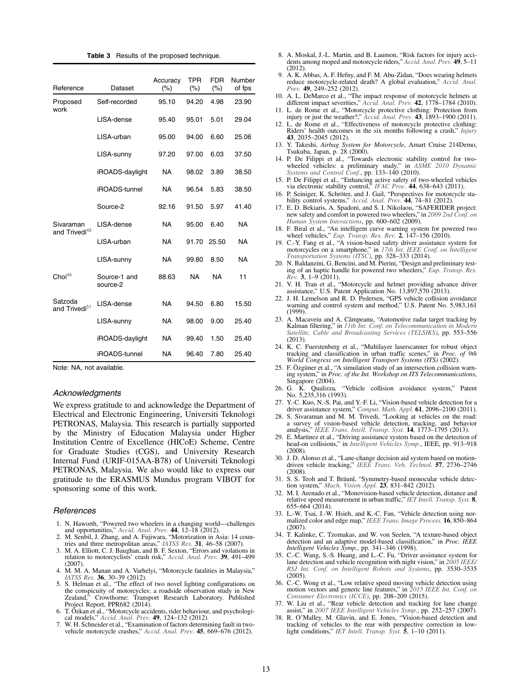| <b>Table 3</b> Results of the proposed technique. |
|---------------------------------------------------|
|                                                   |

| Reference                              | Dataset                  | Accuracy<br>$(\% )$ | <b>TPR</b><br>$(\%)$ | <b>FDR</b><br>(% ) | Number<br>of fps |
|----------------------------------------|--------------------------|---------------------|----------------------|--------------------|------------------|
| Proposed<br>work                       | Self-recorded            | 95.10               | 94.20                | 4.98               | 23.90            |
|                                        | LISA-dense               | 95.40               | 95.01                | 5.01               | 29.04            |
|                                        | LISA-urban               | 95.00               | 94.00                | 6.60               | 25.06            |
|                                        | LISA-sunny               | 97.20               | 97.00                | 6.03               | 37.50            |
|                                        | iROADS-daylight          | <b>NA</b>           | 98.02                | 3.89               | 38.50            |
|                                        | iROADS-tunnel            | <b>NA</b>           | 96.54                | 5.83               | 38.50            |
|                                        | Source-2                 | 92.16               | 91.50                | 5.97               | 41.40            |
| Sivaraman<br>and Trivedi <sup>43</sup> | LISA-dense               | NA                  | 95.00                | 6.40               | <b>NA</b>        |
|                                        | LISA-urban               | <b>NA</b>           | 91.70                | 25.50              | <b>NA</b>        |
|                                        | LISA-sunny               | <b>NA</b>           | 99.80                | 8.50               | <b>NA</b>        |
| Choi <sup>45</sup>                     | Source-1 and<br>source-2 | 88.63               | NA                   | <b>NA</b>          | 11               |
| Satzoda<br>and Trivedi <sup>51</sup>   | LISA-dense               | <b>NA</b>           | 94.50                | 6.80               | 15.50            |
|                                        | LISA-sunny               | <b>NA</b>           | 98.00                | 9.00               | 25.40            |
|                                        | iROADS-daylight          | <b>NA</b>           | 99.40                | 1.50               | 25.40            |
|                                        | iROADS-tunnel            | NA                  | 96.40                | 7.80               | 25.40            |

Note: NA, not available.

#### Acknowledgments

We express gratitude to and acknowledge the Department of Electrical and Electronic Engineering, Universiti Teknologi PETRONAS, Malaysia. This research is partially supported by the Ministry of Education Malaysia under Higher Institution Centre of Excellence (HICoE) Scheme, Centre for Graduate Studies (CGS), and University Research Internal Fund (URIF-015AA-B78) of Universiti Teknologi PETRONAS, Malaysia. We also would like to express our gratitude to the ERASMUS Mundus program VIBOT for sponsoring some of this work.

#### References

- 1. N. Haworth, "Powered two wheelers in a changing world—challenges and opportunities," Accid. Anal. Prev. **44**, 12–18 (2012).<br>2. M. Senbil, J. Zhang, and A. Fujiwara, "Motorization in Asia: 14 coun-
- tries and three metropolitan areas," IATSS Res. 31, 46–58 (2007).
- 3. M. A. Elliott, C. J. Baughan, and B. F. Sexton, "Errors and violations in relation to motorcyclists' crash risk," Accid. Anal. Prev. 39, 491–499  $(2007)$
- 4. M. M. A. Manan and A. Varhelyi, "Motorcycle fatalities in Malaysia," IATSS Res. 36, 30–39 (2012).
- 5. S. Helman et al., "The effect of two novel lighting configurations on the conspicuity of motorcycles: a roadside observation study in New<br>Zealand," Crowthorne: Transport Research Laboratory. Published<br>Project Report, PPR682 (2014).<br>6. T. Ozkan et al., "Motorcycle accidents, rider behaviour,
- cal models," Accid. Anal. Prev. 49, 124–132 (2012).
- 7. W. H. Schneider et al., "Examination of factors determining fault in twovehicle motorcycle crashes," Accid. Anal. Prev. 45, 669-676 (2012).
- 8. A. Moskal, J.-L. Martin, and B. Laumon, "Risk factors for injury accidents among moped and motorcycle riders," Accid. Anal. Prev. 49, 5–11  $(2012)$
- 9. A. K. Abbas, A. F. Hefny, and F. M. Abu-Zidan, "Does wearing helmets reduce motorcycle-related death? A global evaluation," Accid. Anal. Prev. 49, 249–252 (2012).
- 10. A. L. DeMarco et al., "The impact response of motorcycle helmets at different impact severities," Accid. Anal. Prev. 42, 1778-1784 (2010).
- 11. L. de Rome et al., "Motorcycle protective clothing: Protection from injury or just the weather?," Accid. Anal. Prev. 43, 1893–1900 (2011).
- 12. L. de Rome et al., "Effectiveness of motorcycle protective clothing: Riders' health outcomes in the six months following a crash," Injury 43, 2035–2045 (2012).
- 13. Y. Takeshi, Airbag System for Motorcycle, Amart Cruise 214Demo, Tsukuba, Japan, p. 28 (2000).
- 14. P. De Filippi et al., "Towards electronic stability control for two-wheeled vehicles: a preliminary study," in ASME 2010 Dynamic Systems and Control Conf., pp.  $133-140$  (2010).
- 15. P. De Filippi et al., "Enhancing active safety of two-wheeled vehicles via electronic stability control," IFAC Proc. 44, 638–643 (2011).
- 16. P. Seiniger, K. Schröter, and J. Gail, "Perspectives for motorcycle sta-bility control systems," Accid. Anal. Prev. 44, 74–81 (2012).
- 17. E. D. Bekiaris, A. Spadoni, and S. I. Nikolaou, "SAFERIDER project: new safety and comfort in powered two wheelers," in 2009 2nd Conf. on Human System Interactions, pp. 600–602 (2009).
- 18. F. Biral et al., "An intelligent curve warning system for powered two wheel vehicles," Eup. Transp. Res. Rev. 2, 147–156 (2010).
- 19. C.-Y. Fang et al., "A vision-based safety driver assistance system for motorcycles on a smartphone," in 17th Int. IEEE Conf. on Intelligent Transportation Systems (ITSC), pp. 328–333 (2014).
- 20. N. Baldanzini, G. Bencini, and M. Pierini, "Design and preliminary testing of an haptic handle for powered two wheelers," Eup. Transp. Res.  $Rev.$  3, 1–9 (2011).
- 21. V. H. Tran et al., "Motorcycle and helmet providing advance driver assistance," U.S. Patent Application No. 13,897,570 (2013).
- 22. J. H. Lemelson and R. D. Pedersen, "GPS vehicle collision avoidance warning and control system and method," U.S. Patent No. 5,983,161 (1999).
- 23. A. Macaveiu and A. Câmpeanu, "Automotive radar target tracking by Kalman filtering," in 11th Int. Conf. on Telecommunication in Modern Satellite, Cable and Broadcasting Services (TELSIKS), pp. 553–556 (2013).
- 24. K. C. Fuerstenberg et al., "Multilayer laserscanner for robust object tracking and classification in urban traffic scenes," in *Proc. of 9th* World Congress on Intelligent Transport Systems (ITS) (2002).
- 25. F. Özgüner et al., "A simulation study of an intersection collision warning system," in Proc. of the Int. Workshop on ITS Telecommunications, Singapore (2004).
- 26. G. K. Qualizza, "Vehicle collision avoidance system," Patent No. 5,235,316 (1993).
- 27. Y.-C. Kuo, N.-S. Pai, and Y.-F. Li, "Vision-based vehicle detection for a driver assistance system," Comput. Math. Appl. 61, 2096-2100 (2011).
- 28. S. Sivaraman and M. M. Trivedi, "Looking at vehicles on the road: a survey of vision-based vehicle detection, tracking, and behavior analysis," IEEE Trans. Intell. Transp. Syst. 14, 1773–1795 (2013).
- 29. E. Martinez et al., "Driving assistance system based on the detection of head-on collisions," in Intelligent Vehicles Symp., IEEE, pp. 913–918  $(2008)$
- 30. J. D. Alonso et al., "Lane-change decision aid system based on motiondriven vehicle tracking," IEEE Trans. Veh. Technol. 57, 2736-2746 (2008).
- 31. S. S. Teoh and T. Bräunl, "Symmetry-based monocular vehicle detection system," Mach. Vision Appl. 23, 831-842 (2012).
- 32. M. I. Arenado et al., "Monovision-based vehicle detection, distance and relative speed measurement in urban traffic," IET Intell. Transp. Syst. 8, 655–664 (2014).
- 33. L.-W. Tsai, J.-W. Hsieh, and K.-C. Fan, "Vehicle detection using normalized color and edge map," IEEE Trans. Image Process. 16, 850–864 (2007).
- 34. T. Kalinke, C. Tzomakas, and W. von Seelen, "A texture-based object detection and an adaptive model-based classification," in Proc. IEEE Intelligent Vehicles Symp., pp. 341–346 (1998).
- 35. C.-C. Wang, S.-S. Huang, and L.-C. Fu, "Driver assistance system for lane detection and vehicle recognition with night vision," in 2005 IEEE/ RSJ Int. Conf. on Intelligent Robots and Systems, pp. 3530–3535  $(2005)$
- 36. C.-C. Wong et al., "Low relative speed moving vehicle detection using motion vectors and generic line features," in 2015 IEEE Int. Conf. on Consumer Electronics (ICCE), pp. 208–209 (2015).
- 37. W. Liu et al., "Rear vehicle detection and tracking for lane change assist," in 2007 IEEE Intelligent Vehicles Symp., pp. 252–257 (2007).
- 38. R. O'Malley, M. Glavin, and E. Jones, "Vision-based detection and tracking of vehicles to the rear with perspective correction in low-<br>light conditions," IET Intell. Transp. Syst. 5, 1–10 (2011).